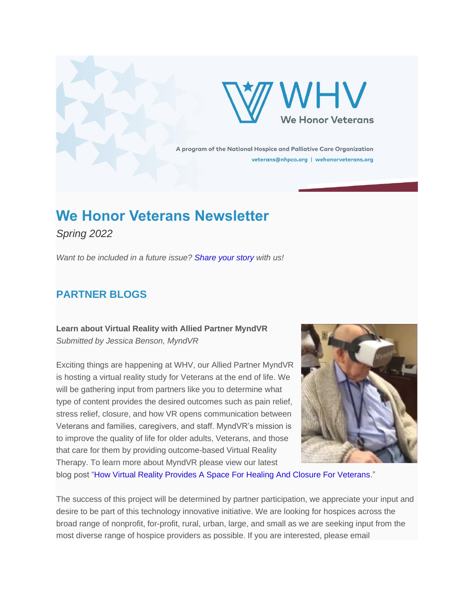



A program of the National Hospice and Palliative Care Organization veterans@nhpco.org | wehonorveterans.org

# **We Honor Veterans Newsletter**

*Spring 2022*

*Want to be included in a future issue? [Share your story](https://nam11.safelinks.protection.outlook.com/?url=http%3A%2F%2Fnhpco-netforum.informz.net%2Fz%2FcjUucD9taT04NjY3NzI0JnA9MSZ1PTgyMzI5OTM5NyZsaT03NTQ5MjE5NA%2Findex.html&data=04%7C01%7Ctweiss%40mjhs.org%7C83fef4a5e0994c5732d708da08fcac00%7C00e7ba7e2434448894c99fcda612f634%7C0%7C0%7C637832178568355495%7CUnknown%7CTWFpbGZsb3d8eyJWIjoiMC4wLjAwMDAiLCJQIjoiV2luMzIiLCJBTiI6Ik1haWwiLCJXVCI6Mn0%3D%7C3000&sdata=%2FAedfviJXw6YQKzbUkSbCt1nZY6qOAD7thANGNFUQJA%3D&reserved=0) with us!*

# **PARTNER BLOGS**

## **Learn about Virtual Reality with Allied Partner MyndVR** *Submitted by Jessica Benson, MyndVR*

Exciting things are happening at WHV, our Allied Partner MyndVR is hosting a virtual reality study for Veterans at the end of life. We will be gathering input from partners like you to determine what type of content provides the desired outcomes such as pain relief, stress relief, closure, and how VR opens communication between Veterans and families, caregivers, and staff. MyndVR's mission is to improve the quality of life for older adults, Veterans, and those that care for them by providing outcome-based Virtual Reality Therapy. To learn more about MyndVR please view our latest



blog post ["How Virtual Reality Provides A Space For Healing And Closure For Veterans.](https://nam11.safelinks.protection.outlook.com/?url=http%3A%2F%2Fnhpco-netforum.informz.net%2Fz%2FcjUucD9taT04NjY3NzI0JnA9MSZ1PTgyMzI5OTM5NyZsaT03NTQ5MjE5NQ%2Findex.html&data=04%7C01%7Ctweiss%40mjhs.org%7C83fef4a5e0994c5732d708da08fcac00%7C00e7ba7e2434448894c99fcda612f634%7C0%7C0%7C637832178568355495%7CUnknown%7CTWFpbGZsb3d8eyJWIjoiMC4wLjAwMDAiLCJQIjoiV2luMzIiLCJBTiI6Ik1haWwiLCJXVCI6Mn0%3D%7C3000&sdata=mlYSrHTg30VzJGqx3x0Pcq%2B6%2BZp1rG4SCrvX%2FO5t8DI%3D&reserved=0)"

The success of this project will be determined by partner participation, we appreciate your input and desire to be part of this technology innovative initiative. We are looking for hospices across the broad range of nonprofit, for-profit, rural, urban, large, and small as we are seeking input from the most diverse range of hospice providers as possible. If you are interested, please email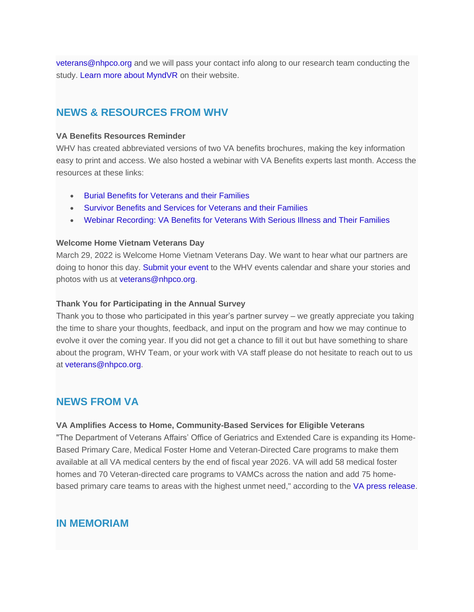[veterans@nhpco.org](mailto:veterans@nhpco.org) and we will pass your contact info along to our research team conducting the study. [Learn more about MyndVR](https://nam11.safelinks.protection.outlook.com/?url=http%3A%2F%2Fnhpco-netforum.informz.net%2Fz%2FcjUucD9taT04NjY3NzI0JnA9MSZ1PTgyMzI5OTM5NyZsaT03NTQ5MjE5Ng%2Findex.html&data=04%7C01%7Ctweiss%40mjhs.org%7C83fef4a5e0994c5732d708da08fcac00%7C00e7ba7e2434448894c99fcda612f634%7C0%7C0%7C637832178568355495%7CUnknown%7CTWFpbGZsb3d8eyJWIjoiMC4wLjAwMDAiLCJQIjoiV2luMzIiLCJBTiI6Ik1haWwiLCJXVCI6Mn0%3D%7C3000&sdata=jTIBk6JFqclbl0tWwS6PMhEDz33ci6tlLEb95nbu2xs%3D&reserved=0) on their website.

## **NEWS & RESOURCES FROM WHV**

#### **VA Benefits Resources Reminder**

WHV has created abbreviated versions of two VA benefits brochures, making the key information easy to print and access. We also hosted a webinar with VA Benefits experts last month. Access the resources at these links:

- [Burial Benefits for Veterans and their Families](https://nam11.safelinks.protection.outlook.com/?url=http%3A%2F%2Fnhpco-netforum.informz.net%2Fz%2FcjUucD9taT04NjY3NzI0JnA9MSZ1PTgyMzI5OTM5NyZsaT03NTQ5MjE5Nw%2Findex.html&data=04%7C01%7Ctweiss%40mjhs.org%7C83fef4a5e0994c5732d708da08fcac00%7C00e7ba7e2434448894c99fcda612f634%7C0%7C0%7C637832178568355495%7CUnknown%7CTWFpbGZsb3d8eyJWIjoiMC4wLjAwMDAiLCJQIjoiV2luMzIiLCJBTiI6Ik1haWwiLCJXVCI6Mn0%3D%7C3000&sdata=gUBf%2F%2B2emWXIvGfWe1WfxXtHvb8WTCCfjIAZr5uSJFA%3D&reserved=0)
- [Survivor Benefits and Services for Veterans and their Families](https://nam11.safelinks.protection.outlook.com/?url=http%3A%2F%2Fnhpco-netforum.informz.net%2Fz%2FcjUucD9taT04NjY3NzI0JnA9MSZ1PTgyMzI5OTM5NyZsaT03NTQ5MjE5OA%2Findex.html&data=04%7C01%7Ctweiss%40mjhs.org%7C83fef4a5e0994c5732d708da08fcac00%7C00e7ba7e2434448894c99fcda612f634%7C0%7C0%7C637832178568355495%7CUnknown%7CTWFpbGZsb3d8eyJWIjoiMC4wLjAwMDAiLCJQIjoiV2luMzIiLCJBTiI6Ik1haWwiLCJXVCI6Mn0%3D%7C3000&sdata=9KNUXmwXYtLF4yJAcGtyYEQyS8nxgCComta25%2FVdipo%3D&reserved=0)
- [Webinar Recording: VA Benefits for Veterans With Serious Illness and Their Families](https://nam11.safelinks.protection.outlook.com/?url=http%3A%2F%2Fnhpco-netforum.informz.net%2Fz%2FcjUucD9taT04NjY3NzI0JnA9MSZ1PTgyMzI5OTM5NyZsaT03NTQ5MjE5OQ%2Findex.html&data=04%7C01%7Ctweiss%40mjhs.org%7C83fef4a5e0994c5732d708da08fcac00%7C00e7ba7e2434448894c99fcda612f634%7C0%7C0%7C637832178568355495%7CUnknown%7CTWFpbGZsb3d8eyJWIjoiMC4wLjAwMDAiLCJQIjoiV2luMzIiLCJBTiI6Ik1haWwiLCJXVCI6Mn0%3D%7C3000&sdata=c%2BBR%2Fn5D5WnA%2FN3zYe0ax21RIwd5StlN3YBj02on7es%3D&reserved=0)

#### **Welcome Home Vietnam Veterans Day**

March 29, 2022 is Welcome Home Vietnam Veterans Day. We want to hear what our partners are doing to honor this day. [Submit your event](https://nam11.safelinks.protection.outlook.com/?url=http%3A%2F%2Fnhpco-netforum.informz.net%2Fz%2FcjUucD9taT04NjY3NzI0JnA9MSZ1PTgyMzI5OTM5NyZsaT03NTQ5MjIwMA%2Findex.html&data=04%7C01%7Ctweiss%40mjhs.org%7C83fef4a5e0994c5732d708da08fcac00%7C00e7ba7e2434448894c99fcda612f634%7C0%7C0%7C637832178568355495%7CUnknown%7CTWFpbGZsb3d8eyJWIjoiMC4wLjAwMDAiLCJQIjoiV2luMzIiLCJBTiI6Ik1haWwiLCJXVCI6Mn0%3D%7C3000&sdata=GGd6bE4MA3ryrt5%2BWPQNb0dq0INEq%2FHrnoqI5EUx3sY%3D&reserved=0) to the WHV events calendar and share your stories and photos with us at [veterans@nhpco.org.](mailto:veterans@nhpco.org)

#### **Thank You for Participating in the Annual Survey**

Thank you to those who participated in this year's partner survey – we greatly appreciate you taking the time to share your thoughts, feedback, and input on the program and how we may continue to evolve it over the coming year. If you did not get a chance to fill it out but have something to share about the program, WHV Team, or your work with VA staff please do not hesitate to reach out to us at [veterans@nhpco.org.](mailto:veterans@nhpco.org)

## **NEWS FROM VA**

#### **VA Amplifies Access to Home, Community-Based Services for Eligible Veterans**

"The Department of Veterans Affairs' Office of Geriatrics and Extended Care is expanding its Home-Based Primary Care, Medical Foster Home and Veteran-Directed Care programs to make them available at all VA medical centers by the end of fiscal year 2026. VA will add 58 medical foster homes and 70 Veteran-directed care programs to VAMCs across the nation and add 75 homebased primary care teams to areas with the highest unmet need," according to the [VA press release.](https://nam11.safelinks.protection.outlook.com/?url=http%3A%2F%2Fnhpco-netforum.informz.net%2Fz%2FcjUucD9taT04NjY3NzI0JnA9MSZ1PTgyMzI5OTM5NyZsaT03NTQ5MjIwMQ%2Findex.html&data=04%7C01%7Ctweiss%40mjhs.org%7C83fef4a5e0994c5732d708da08fcac00%7C00e7ba7e2434448894c99fcda612f634%7C0%7C0%7C637832178568355495%7CUnknown%7CTWFpbGZsb3d8eyJWIjoiMC4wLjAwMDAiLCJQIjoiV2luMzIiLCJBTiI6Ik1haWwiLCJXVCI6Mn0%3D%7C3000&sdata=eZ2y2PvYgreAi%2FqY9gNLMyceVwGF69PJ2wAV6aV6uCo%3D&reserved=0)

### **IN MEMORIAM**